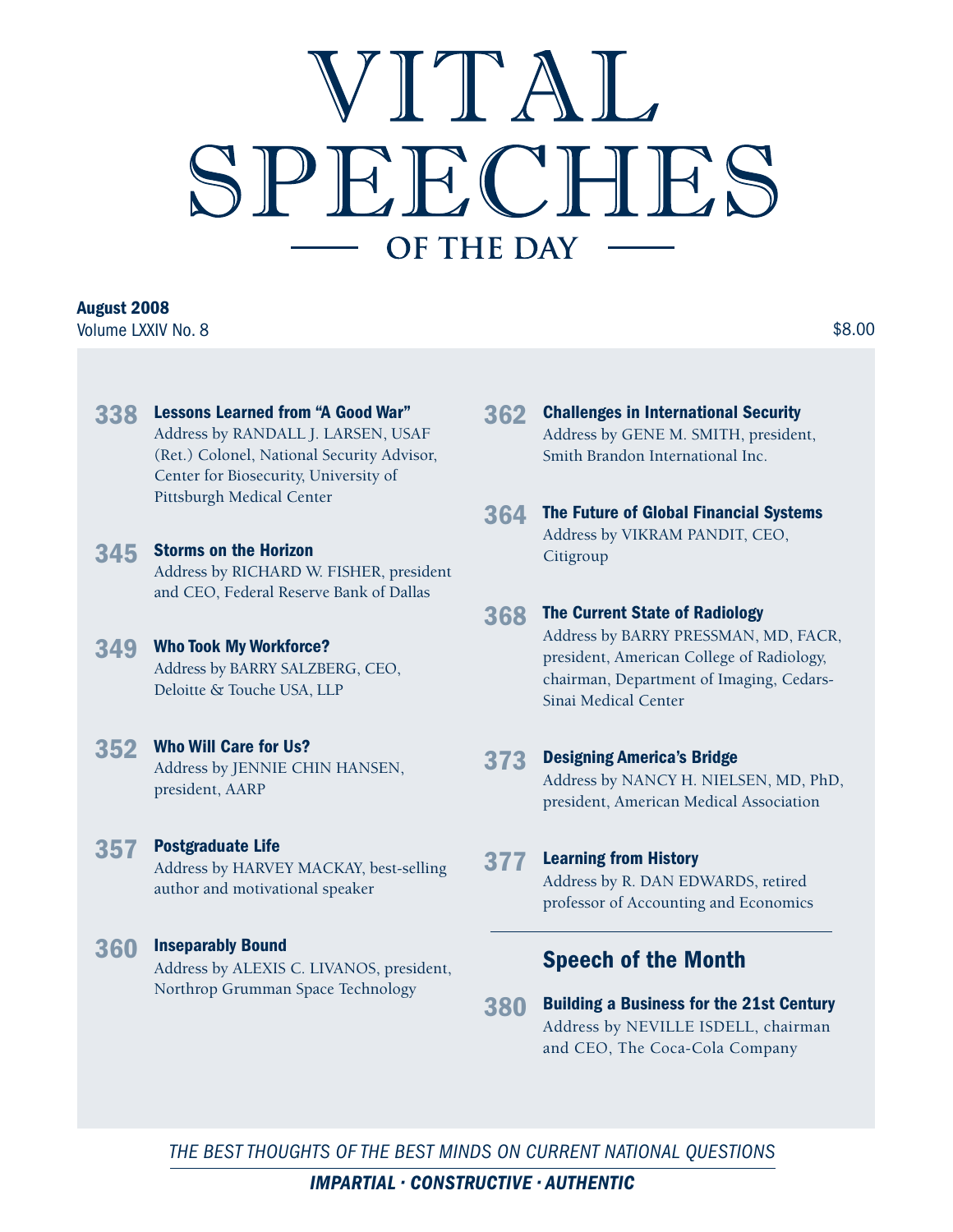# VITAI. SPEECHES OF THE DAY

## **August 2008**

Volume LXXIV No. 8  $$8.00$ 

- **338 Lessons Learned from "A Good War"** Address by RANDALL J. LARSEN, USAF (Ret.) Colonel, National Security Advisor, Center for Biosecurity, University of Pittsburgh Medical Center
- **345 Storms on the Horizon**  Address by RICHARD W. FISHER, president and CEO, Federal Reserve Bank of Dallas
- **349 Who Took My Workforce?**  Address by BARRY SALZBERG, CEO, Deloitte & Touche USA, LLP
- **352 Who Will Care for Us?**  Address by JENNIE CHIN HANSEN,

president, AARP

**357 Postgraduate Life**

Address by HARVEY MACKAY, best-selling author and motivational speaker

**360 Inseparably Bound** Address by ALEXIS C. LIVANOS, president, Northrop Grumman Space Technology

- **362 Challenges in International Security** Address by GENE M. SMITH, president, Smith Brandon International Inc.
- **364 The Future of Global Financial Systems** Address by VIKRAM PANDIT, CEO, Citigroup
- **368 The Current State of Radiology** Address by BARRY PRESSMAN, MD, FACR, president, American College of Radiology, chairman, Department of Imaging, Cedars-Sinai Medical Center
- **373 Designing America's Bridge**  Address by NANCY H. NIELSEN, MD, PhD, president, American Medical Association
- **377 Learning from History**

Address by R. DAN EDWARDS, retired professor of Accounting and Economics

### **Speech of the Month**

**380 Building a Business for the 21st Century** Address by NEVILLE ISDELL, chairman and CEO, The Coca-Cola Company

THE BEST THOUGHTS OF THE BEST MINDS ON CURRENT NATIONAL QUESTIONS

 $IMPARTIAL \cdot CONSTRUCTIVE \cdot AUTHENTIC$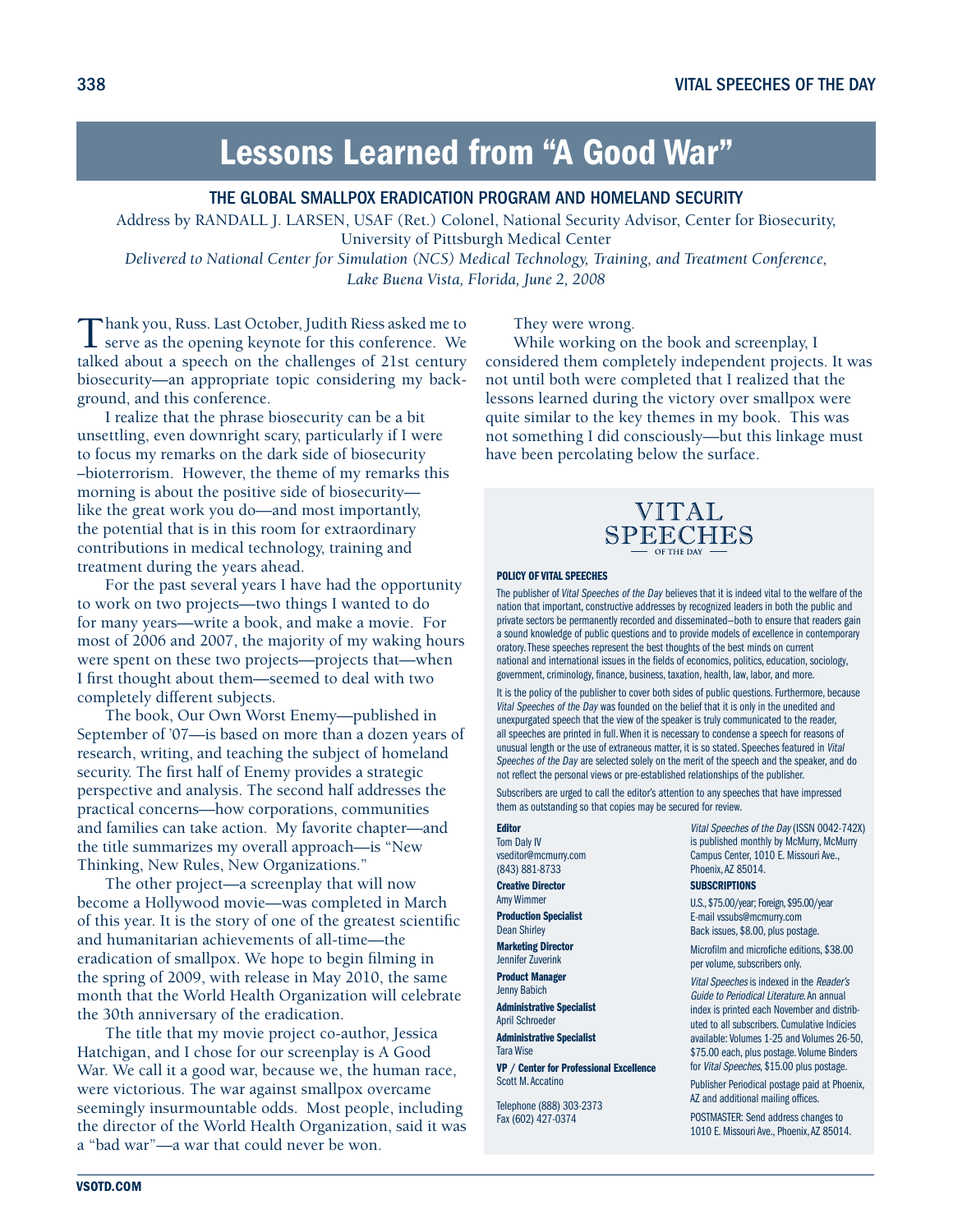# **Lessons Learned from "A Good War"**

#### THE GLOBAL SMALLPOX ERADICATION PROGRAM AND HOMELAND SECURITY

Address by RANDALL J. LARSEN, USAF (Ret.) Colonel, National Security Advisor, Center for Biosecurity, University of Pittsburgh Medical Center

*Delivered to National Center for Simulation (NCS) Medical Technology, Training, and Treatment Conference, Lake Buena Vista, Florida, June 2, 2008*

Thank you, Russ. Last October, Judith Riess asked me to serve as the opening keynote for this conference. We talked about a speech on the challenges of 21st century biosecurity—an appropriate topic considering my background, and this conference.

I realize that the phrase biosecurity can be a bit unsettling, even downright scary, particularly if I were to focus my remarks on the dark side of biosecurity –bioterrorism. However, the theme of my remarks this morning is about the positive side of biosecurity like the great work you do—and most importantly, the potential that is in this room for extraordinary contributions in medical technology, training and treatment during the years ahead.

For the past several years I have had the opportunity to work on two projects—two things I wanted to do for many years—write a book, and make a movie. For most of 2006 and 2007, the majority of my waking hours were spent on these two projects—projects that—when I first thought about them—seemed to deal with two completely different subjects.

The book, Our Own Worst Enemy—published in September of '07—is based on more than a dozen years of research, writing, and teaching the subject of homeland security. The first half of Enemy provides a strategic perspective and analysis. The second half addresses the practical concerns—how corporations, communities and families can take action. My favorite chapter—and the title summarizes my overall approach—is "New Thinking, New Rules, New Organizations."

The other project—a screenplay that will now become a Hollywood movie—was completed in March of this year. It is the story of one of the greatest scientific and humanitarian achievements of all-time—the eradication of smallpox. We hope to begin filming in the spring of 2009, with release in May 2010, the same month that the World Health Organization will celebrate the 30th anniversary of the eradication.

The title that my movie project co-author, Jessica Hatchigan, and I chose for our screenplay is A Good War. We call it a good war, because we, the human race, were victorious. The war against smallpox overcame seemingly insurmountable odds. Most people, including the director of the World Health Organization, said it was a "bad war"—a war that could never be won.

They were wrong.

While working on the book and screenplay, I considered them completely independent projects. It was not until both were completed that I realized that the lessons learned during the victory over smallpox were quite similar to the key themes in my book. This was not something I did consciously—but this linkage must have been percolating below the surface.

# VITAL SPEECHES

#### **POLICY OF VITAL SPEECHES**

The publisher of Vital Speeches of the Day believes that it is indeed vital to the welfare of the nation that important, constructive addresses by recognized leaders in both the public and private sectors be permanently recorded and disseminated—both to ensure that readers gain a sound knowledge of public questions and to provide models of excellence in contemporary oratory. These speeches represent the best thoughts of the best minds on current national and international issues in the fields of economics, politics, education, sociology, government, criminology, finance, business, taxation, health, law, labor, and more.

It is the policy of the publisher to cover both sides of public questions. Furthermore, because Vital Speeches of the Day was founded on the belief that it is only in the unedited and unexpurgated speech that the view of the speaker is truly communicated to the reader, all speeches are printed in full. When it is necessary to condense a speech for reasons of unusual length or the use of extraneous matter, it is so stated. Speeches featured in Vital Speeches of the Day are selected solely on the merit of the speech and the speaker, and do not reflect the personal views or pre-established relationships of the publisher.

Subscribers are urged to call the editor's attention to any speeches that have impressed them as outstanding so that copies may be secured for review.

#### **Editor**

Tom Daly IV vseditor@mcmurry.com (843) 881-8733

**Creative Director** Amy Wimmer

**Production Specialist**  Dean Shirley

**Marketing Director**  Jennifer Zuverink

**Product Manager**  Jenny Babich

**Administrative Specialist** April Schroeder

**Administrative Specialist** Tara Wise

**VP / Center for Professional Excellence**  Scott M. Accatino

Telephone (888) 303-2373 Fax (602) 427-0374

Vital Speeches of the Day (ISSN 0042-742X) is published monthly by McMurry, McMurry Campus Center, 1010 E. Missouri Ave., Phoenix, AZ 85014.

#### **SUBSCRIPTIONS**

U.S., \$75.00/year; Foreign, \$95.00/year E-mail vssubs@mcmurry.com Back issues, \$8.00, plus postage.

Microfilm and microfiche editions, \$38.00 per volume, subscribers only.

Vital Speeches is indexed in the Reader's Guide to Periodical Literature. An annual index is printed each November and distributed to all subscribers. Cumulative Indicies available: Volumes 1-25 and Volumes 26-50, \$75.00 each, plus postage. Volume Binders for Vital Speeches, \$15.00 plus postage.

Publisher Periodical postage paid at Phoenix, AZ and additional mailing offices.

POSTMASTER: Send address changes to 1010 E. Missouri Ave., Phoenix, AZ 85014.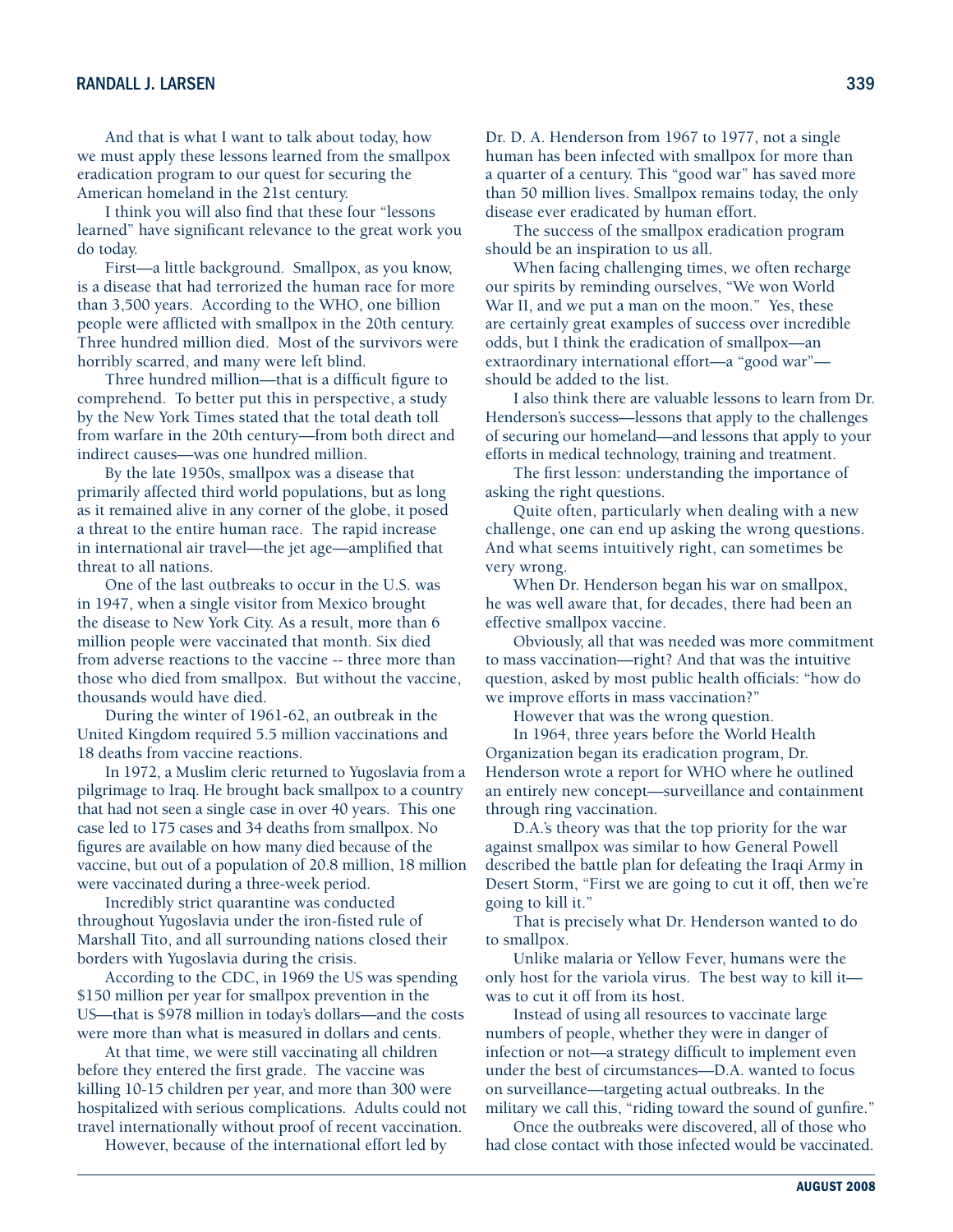And that is what I want to talk about today, how we must apply these lessons learned from the smallpox eradication program to our quest for securing the American homeland in the 21st century.

I think you will also find that these four "lessons learned" have significant relevance to the great work you do today.

First—a little background. Smallpox, as you know, is a disease that had terrorized the human race for more than 3,500 years. According to the WHO, one billion people were afflicted with smallpox in the 20th century. Three hundred million died. Most of the survivors were horribly scarred, and many were left blind.

Three hundred million—that is a difficult figure to comprehend. To better put this in perspective, a study by the New York Times stated that the total death toll from warfare in the 20th century—from both direct and indirect causes—was one hundred million.

By the late 1950s, smallpox was a disease that primarily affected third world populations, but as long as it remained alive in any corner of the globe, it posed a threat to the entire human race. The rapid increase in international air travel—the jet age—amplified that threat to all nations.

One of the last outbreaks to occur in the U.S. was in 1947, when a single visitor from Mexico brought the disease to New York City. As a result, more than 6 million people were vaccinated that month. Six died from adverse reactions to the vaccine -- three more than those who died from smallpox. But without the vaccine, thousands would have died.

During the winter of 1961-62, an outbreak in the United Kingdom required 5.5 million vaccinations and 18 deaths from vaccine reactions.

In 1972, a Muslim cleric returned to Yugoslavia from a pilgrimage to Iraq. He brought back smallpox to a country that had not seen a single case in over 40 years. This one case led to 175 cases and 34 deaths from smallpox. No figures are available on how many died because of the vaccine, but out of a population of 20.8 million, 18 million were vaccinated during a three-week period.

Incredibly strict quarantine was conducted throughout Yugoslavia under the iron-fisted rule of Marshall Tito, and all surrounding nations closed their borders with Yugoslavia during the crisis.

According to the CDC, in 1969 the US was spending \$150 million per year for smallpox prevention in the US—that is \$978 million in today's dollars—and the costs were more than what is measured in dollars and cents.

At that time, we were still vaccinating all children before they entered the first grade. The vaccine was killing 10-15 children per year, and more than 300 were hospitalized with serious complications. Adults could not travel internationally without proof of recent vaccination.

However, because of the international effort led by

Dr. D. A. Henderson from 1967 to 1977, not a single human has been infected with smallpox for more than a quarter of a century. This "good war" has saved more than 50 million lives. Smallpox remains today, the only disease ever eradicated by human effort.

The success of the smallpox eradication program should be an inspiration to us all.

When facing challenging times, we often recharge our spirits by reminding ourselves, "We won World War II, and we put a man on the moon." Yes, these are certainly great examples of success over incredible odds, but I think the eradication of smallpox—an extraordinary international effort—a "good war" should be added to the list.

I also think there are valuable lessons to learn from Dr. Henderson's success—lessons that apply to the challenges of securing our homeland—and lessons that apply to your efforts in medical technology, training and treatment.

The first lesson: understanding the importance of asking the right questions.

Quite often, particularly when dealing with a new challenge, one can end up asking the wrong questions. And what seems intuitively right, can sometimes be very wrong.

When Dr. Henderson began his war on smallpox, he was well aware that, for decades, there had been an effective smallpox vaccine.

Obviously, all that was needed was more commitment to mass vaccination—right? And that was the intuitive question, asked by most public health officials: "how do we improve efforts in mass vaccination?"

However that was the wrong question.

In 1964, three years before the World Health Organization began its eradication program, Dr. Henderson wrote a report for WHO where he outlined an entirely new concept—surveillance and containment through ring vaccination.

D.A.'s theory was that the top priority for the war against smallpox was similar to how General Powell described the battle plan for defeating the Iraqi Army in Desert Storm, "First we are going to cut it off, then we're going to kill it."

That is precisely what Dr. Henderson wanted to do to smallpox.

Unlike malaria or Yellow Fever, humans were the only host for the variola virus. The best way to kill it was to cut it off from its host.

Instead of using all resources to vaccinate large numbers of people, whether they were in danger of infection or not—a strategy difficult to implement even under the best of circumstances—D.A. wanted to focus on surveillance—targeting actual outbreaks. In the military we call this, "riding toward the sound of gunfire."

Once the outbreaks were discovered, all of those who had close contact with those infected would be vaccinated.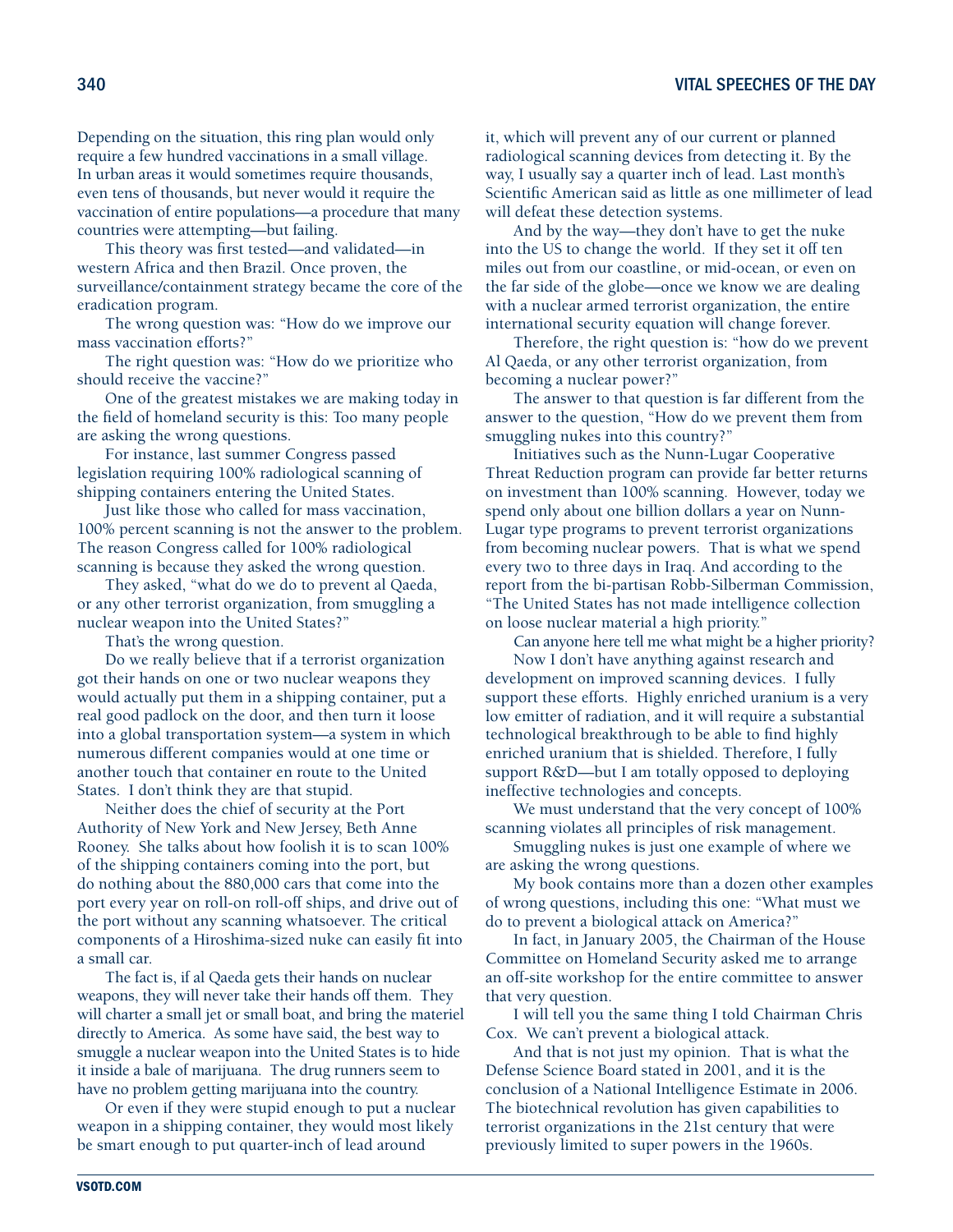Depending on the situation, this ring plan would only require a few hundred vaccinations in a small village. In urban areas it would sometimes require thousands, even tens of thousands, but never would it require the vaccination of entire populations—a procedure that many countries were attempting—but failing.

This theory was first tested—and validated—in western Africa and then Brazil. Once proven, the surveillance/containment strategy became the core of the eradication program.

The wrong question was: "How do we improve our mass vaccination efforts?"

The right question was: "How do we prioritize who should receive the vaccine?"

One of the greatest mistakes we are making today in the field of homeland security is this: Too many people are asking the wrong questions.

For instance, last summer Congress passed legislation requiring 100% radiological scanning of shipping containers entering the United States.

Just like those who called for mass vaccination, 100% percent scanning is not the answer to the problem. The reason Congress called for 100% radiological scanning is because they asked the wrong question.

They asked, "what do we do to prevent al Qaeda, or any other terrorist organization, from smuggling a nuclear weapon into the United States?"

That's the wrong question.

Do we really believe that if a terrorist organization got their hands on one or two nuclear weapons they would actually put them in a shipping container, put a real good padlock on the door, and then turn it loose into a global transportation system—a system in which numerous different companies would at one time or another touch that container en route to the United States. I don't think they are that stupid.

Neither does the chief of security at the Port Authority of New York and New Jersey, Beth Anne Rooney. She talks about how foolish it is to scan 100% of the shipping containers coming into the port, but do nothing about the 880,000 cars that come into the port every year on roll-on roll-off ships, and drive out of the port without any scanning whatsoever. The critical components of a Hiroshima-sized nuke can easily fit into a small car.

The fact is, if al Qaeda gets their hands on nuclear weapons, they will never take their hands off them. They will charter a small jet or small boat, and bring the materiel directly to America. As some have said, the best way to smuggle a nuclear weapon into the United States is to hide it inside a bale of marijuana. The drug runners seem to have no problem getting marijuana into the country.

Or even if they were stupid enough to put a nuclear weapon in a shipping container, they would most likely be smart enough to put quarter-inch of lead around

it, which will prevent any of our current or planned radiological scanning devices from detecting it. By the way, I usually say a quarter inch of lead. Last month's Scientific American said as little as one millimeter of lead will defeat these detection systems.

And by the way—they don't have to get the nuke into the US to change the world. If they set it off ten miles out from our coastline, or mid-ocean, or even on the far side of the globe—once we know we are dealing with a nuclear armed terrorist organization, the entire international security equation will change forever.

Therefore, the right question is: "how do we prevent Al Qaeda, or any other terrorist organization, from becoming a nuclear power?"

The answer to that question is far different from the answer to the question, "How do we prevent them from smuggling nukes into this country?"

Initiatives such as the Nunn-Lugar Cooperative Threat Reduction program can provide far better returns on investment than 100% scanning. However, today we spend only about one billion dollars a year on Nunn-Lugar type programs to prevent terrorist organizations from becoming nuclear powers. That is what we spend every two to three days in Iraq. And according to the report from the bi-partisan Robb-Silberman Commission, "The United States has not made intelligence collection on loose nuclear material a high priority."

Can anyone here tell me what might be a higher priority? Now I don't have anything against research and

development on improved scanning devices. I fully support these efforts. Highly enriched uranium is a very low emitter of radiation, and it will require a substantial technological breakthrough to be able to find highly enriched uranium that is shielded. Therefore, I fully support R&D—but I am totally opposed to deploying ineffective technologies and concepts.

We must understand that the very concept of 100% scanning violates all principles of risk management.

Smuggling nukes is just one example of where we are asking the wrong questions.

My book contains more than a dozen other examples of wrong questions, including this one: "What must we do to prevent a biological attack on America?"

In fact, in January 2005, the Chairman of the House Committee on Homeland Security asked me to arrange an off-site workshop for the entire committee to answer that very question.

I will tell you the same thing I told Chairman Chris Cox. We can't prevent a biological attack.

And that is not just my opinion. That is what the Defense Science Board stated in 2001, and it is the conclusion of a National Intelligence Estimate in 2006. The biotechnical revolution has given capabilities to terrorist organizations in the 21st century that were previously limited to super powers in the 1960s.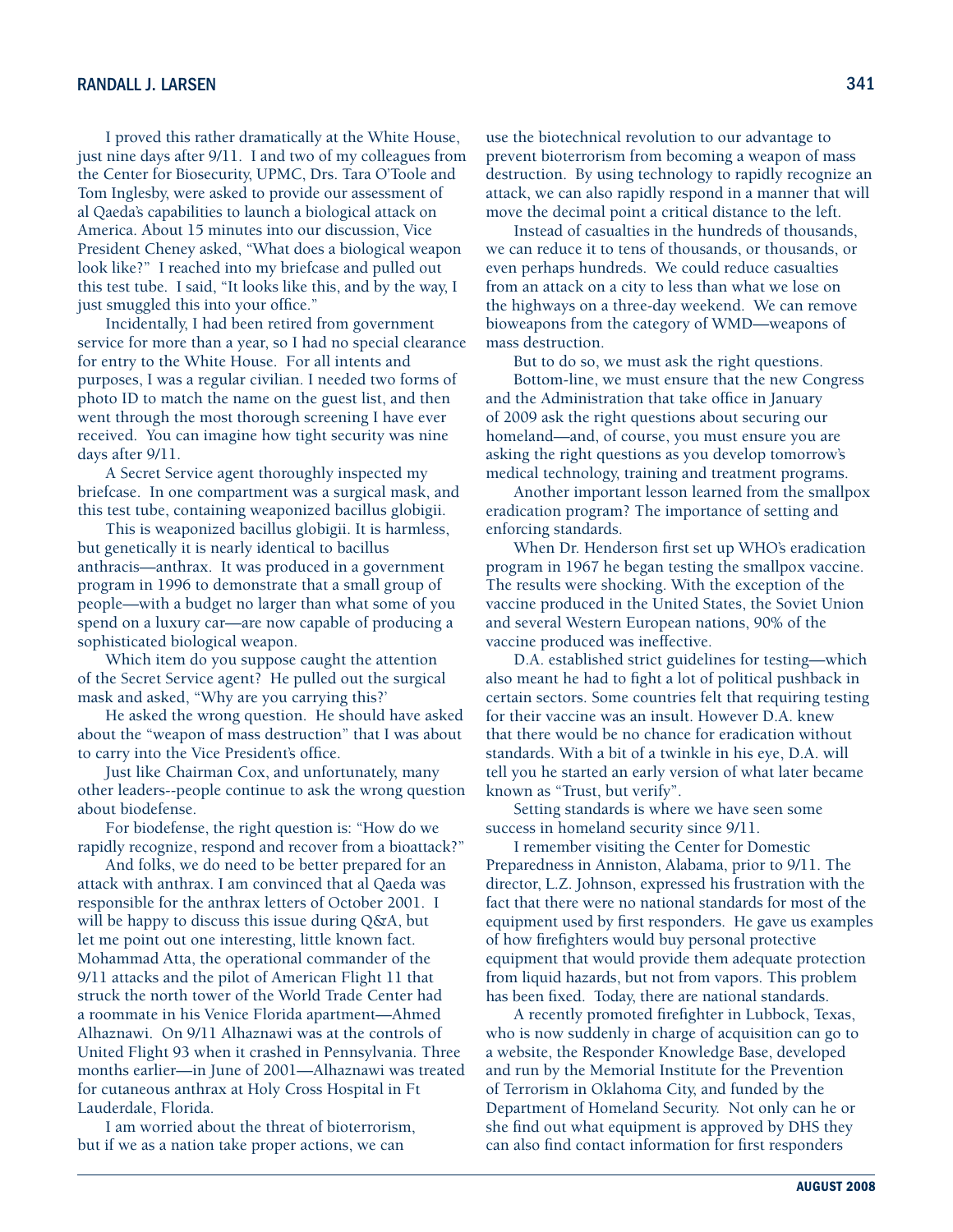I proved this rather dramatically at the White House, just nine days after 9/11. I and two of my colleagues from the Center for Biosecurity, UPMC, Drs. Tara O'Toole and Tom Inglesby, were asked to provide our assessment of al Qaeda's capabilities to launch a biological attack on America. About 15 minutes into our discussion, Vice President Cheney asked, "What does a biological weapon look like?" I reached into my briefcase and pulled out this test tube. I said, "It looks like this, and by the way, I just smuggled this into your office."

Incidentally, I had been retired from government service for more than a year, so I had no special clearance for entry to the White House. For all intents and purposes, I was a regular civilian. I needed two forms of photo ID to match the name on the guest list, and then went through the most thorough screening I have ever received. You can imagine how tight security was nine days after 9/11.

A Secret Service agent thoroughly inspected my briefcase. In one compartment was a surgical mask, and this test tube, containing weaponized bacillus globigii.

This is weaponized bacillus globigii. It is harmless, but genetically it is nearly identical to bacillus anthracis—anthrax. It was produced in a government program in 1996 to demonstrate that a small group of people—with a budget no larger than what some of you spend on a luxury car—are now capable of producing a sophisticated biological weapon.

Which item do you suppose caught the attention of the Secret Service agent? He pulled out the surgical mask and asked, "Why are you carrying this?'

He asked the wrong question. He should have asked about the "weapon of mass destruction" that I was about to carry into the Vice President's office.

Just like Chairman Cox, and unfortunately, many other leaders--people continue to ask the wrong question about biodefense.

For biodefense, the right question is: "How do we rapidly recognize, respond and recover from a bioattack?"

And folks, we do need to be better prepared for an attack with anthrax. I am convinced that al Qaeda was responsible for the anthrax letters of October 2001. I will be happy to discuss this issue during Q&A, but let me point out one interesting, little known fact. Mohammad Atta, the operational commander of the 9/11 attacks and the pilot of American Flight 11 that struck the north tower of the World Trade Center had a roommate in his Venice Florida apartment—Ahmed Alhaznawi. On 9/11 Alhaznawi was at the controls of United Flight 93 when it crashed in Pennsylvania. Three months earlier—in June of 2001—Alhaznawi was treated for cutaneous anthrax at Holy Cross Hospital in Ft Lauderdale, Florida.

I am worried about the threat of bioterrorism, but if we as a nation take proper actions, we can

use the biotechnical revolution to our advantage to prevent bioterrorism from becoming a weapon of mass destruction. By using technology to rapidly recognize an attack, we can also rapidly respond in a manner that will move the decimal point a critical distance to the left.

Instead of casualties in the hundreds of thousands, we can reduce it to tens of thousands, or thousands, or even perhaps hundreds. We could reduce casualties from an attack on a city to less than what we lose on the highways on a three-day weekend. We can remove bioweapons from the category of WMD—weapons of mass destruction.

But to do so, we must ask the right questions.

Bottom-line, we must ensure that the new Congress and the Administration that take office in January of 2009 ask the right questions about securing our homeland—and, of course, you must ensure you are asking the right questions as you develop tomorrow's medical technology, training and treatment programs.

Another important lesson learned from the smallpox eradication program? The importance of setting and enforcing standards.

When Dr. Henderson first set up WHO's eradication program in 1967 he began testing the smallpox vaccine. The results were shocking. With the exception of the vaccine produced in the United States, the Soviet Union and several Western European nations, 90% of the vaccine produced was ineffective.

D.A. established strict guidelines for testing—which also meant he had to fight a lot of political pushback in certain sectors. Some countries felt that requiring testing for their vaccine was an insult. However D.A. knew that there would be no chance for eradication without standards. With a bit of a twinkle in his eye, D.A. will tell you he started an early version of what later became known as "Trust, but verify".

Setting standards is where we have seen some success in homeland security since 9/11.

I remember visiting the Center for Domestic Preparedness in Anniston, Alabama, prior to 9/11. The director, L.Z. Johnson, expressed his frustration with the fact that there were no national standards for most of the equipment used by first responders. He gave us examples of how firefighters would buy personal protective equipment that would provide them adequate protection from liquid hazards, but not from vapors. This problem has been fixed. Today, there are national standards.

A recently promoted firefighter in Lubbock, Texas, who is now suddenly in charge of acquisition can go to a website, the Responder Knowledge Base, developed and run by the Memorial Institute for the Prevention of Terrorism in Oklahoma City, and funded by the Department of Homeland Security. Not only can he or she find out what equipment is approved by DHS they can also find contact information for first responders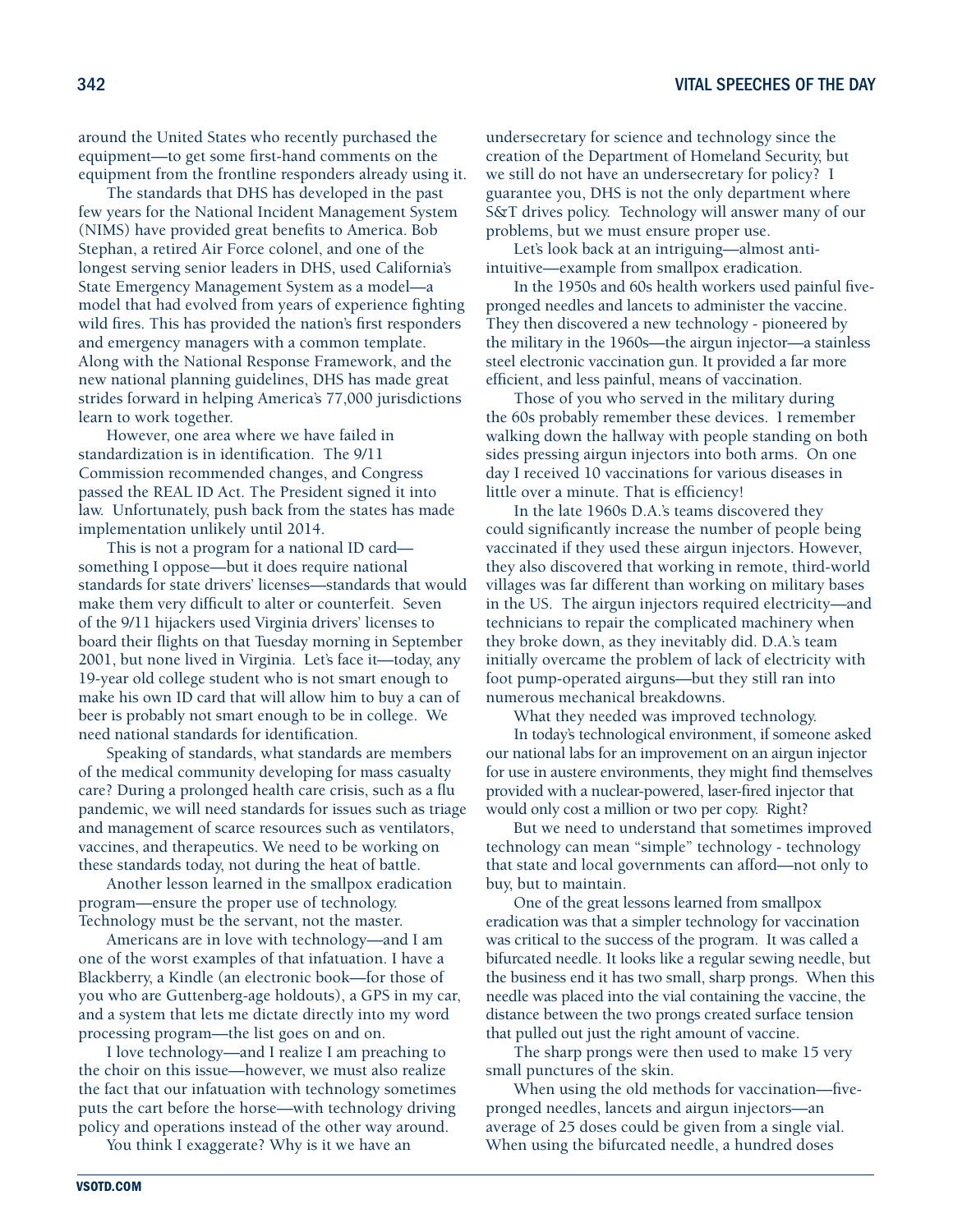around the United States who recently purchased the equipment—to get some first-hand comments on the equipment from the frontline responders already using it.

The standards that DHS has developed in the past few years for the National Incident Management System (NIMS) have provided great benefits to America. Bob Stephan, a retired Air Force colonel, and one of the longest serving senior leaders in DHS, used California's State Emergency Management System as a model—a model that had evolved from years of experience fighting wild fires. This has provided the nation's first responders and emergency managers with a common template. Along with the National Response Framework, and the new national planning guidelines, DHS has made great strides forward in helping America's 77,000 jurisdictions learn to work together.

However, one area where we have failed in standardization is in identification. The 9/11 Commission recommended changes, and Congress passed the REAL ID Act. The President signed it into law. Unfortunately, push back from the states has made implementation unlikely until 2014.

This is not a program for a national ID card something I oppose—but it does require national standards for state drivers' licenses—standards that would make them very difficult to alter or counterfeit. Seven of the 9/11 hijackers used Virginia drivers' licenses to board their flights on that Tuesday morning in September 2001, but none lived in Virginia. Let's face it—today, any 19-year old college student who is not smart enough to make his own ID card that will allow him to buy a can of beer is probably not smart enough to be in college. We need national standards for identification.

Speaking of standards, what standards are members of the medical community developing for mass casualty care? During a prolonged health care crisis, such as a flu pandemic, we will need standards for issues such as triage and management of scarce resources such as ventilators, vaccines, and therapeutics. We need to be working on these standards today, not during the heat of battle.

Another lesson learned in the smallpox eradication program—ensure the proper use of technology. Technology must be the servant, not the master.

Americans are in love with technology—and I am one of the worst examples of that infatuation. I have a Blackberry, a Kindle (an electronic book—for those of you who are Guttenberg-age holdouts), a GPS in my car, and a system that lets me dictate directly into my word processing program—the list goes on and on.

I love technology—and I realize I am preaching to the choir on this issue—however, we must also realize the fact that our infatuation with technology sometimes puts the cart before the horse—with technology driving policy and operations instead of the other way around.

You think I exaggerate? Why is it we have an

undersecretary for science and technology since the creation of the Department of Homeland Security, but we still do not have an undersecretary for policy? I guarantee you, DHS is not the only department where S&T drives policy. Technology will answer many of our problems, but we must ensure proper use.

Let's look back at an intriguing—almost antiintuitive—example from smallpox eradication.

In the 1950s and 60s health workers used painful fivepronged needles and lancets to administer the vaccine. They then discovered a new technology - pioneered by the military in the 1960s—the airgun injector—a stainless steel electronic vaccination gun. It provided a far more efficient, and less painful, means of vaccination.

Those of you who served in the military during the 60s probably remember these devices. I remember walking down the hallway with people standing on both sides pressing airgun injectors into both arms. On one day I received 10 vaccinations for various diseases in little over a minute. That is efficiency!

In the late 1960s D.A.'s teams discovered they could significantly increase the number of people being vaccinated if they used these airgun injectors. However, they also discovered that working in remote, third-world villages was far different than working on military bases in the US. The airgun injectors required electricity—and technicians to repair the complicated machinery when they broke down, as they inevitably did. D.A.'s team initially overcame the problem of lack of electricity with foot pump-operated airguns—but they still ran into numerous mechanical breakdowns.

What they needed was improved technology.

In today's technological environment, if someone asked our national labs for an improvement on an airgun injector for use in austere environments, they might find themselves provided with a nuclear-powered, laser-fired injector that would only cost a million or two per copy. Right?

But we need to understand that sometimes improved technology can mean "simple" technology - technology that state and local governments can afford—not only to buy, but to maintain.

One of the great lessons learned from smallpox eradication was that a simpler technology for vaccination was critical to the success of the program. It was called a bifurcated needle. It looks like a regular sewing needle, but the business end it has two small, sharp prongs. When this needle was placed into the vial containing the vaccine, the distance between the two prongs created surface tension that pulled out just the right amount of vaccine.

The sharp prongs were then used to make 15 very small punctures of the skin.

When using the old methods for vaccination—fivepronged needles, lancets and airgun injectors—an average of 25 doses could be given from a single vial. When using the bifurcated needle, a hundred doses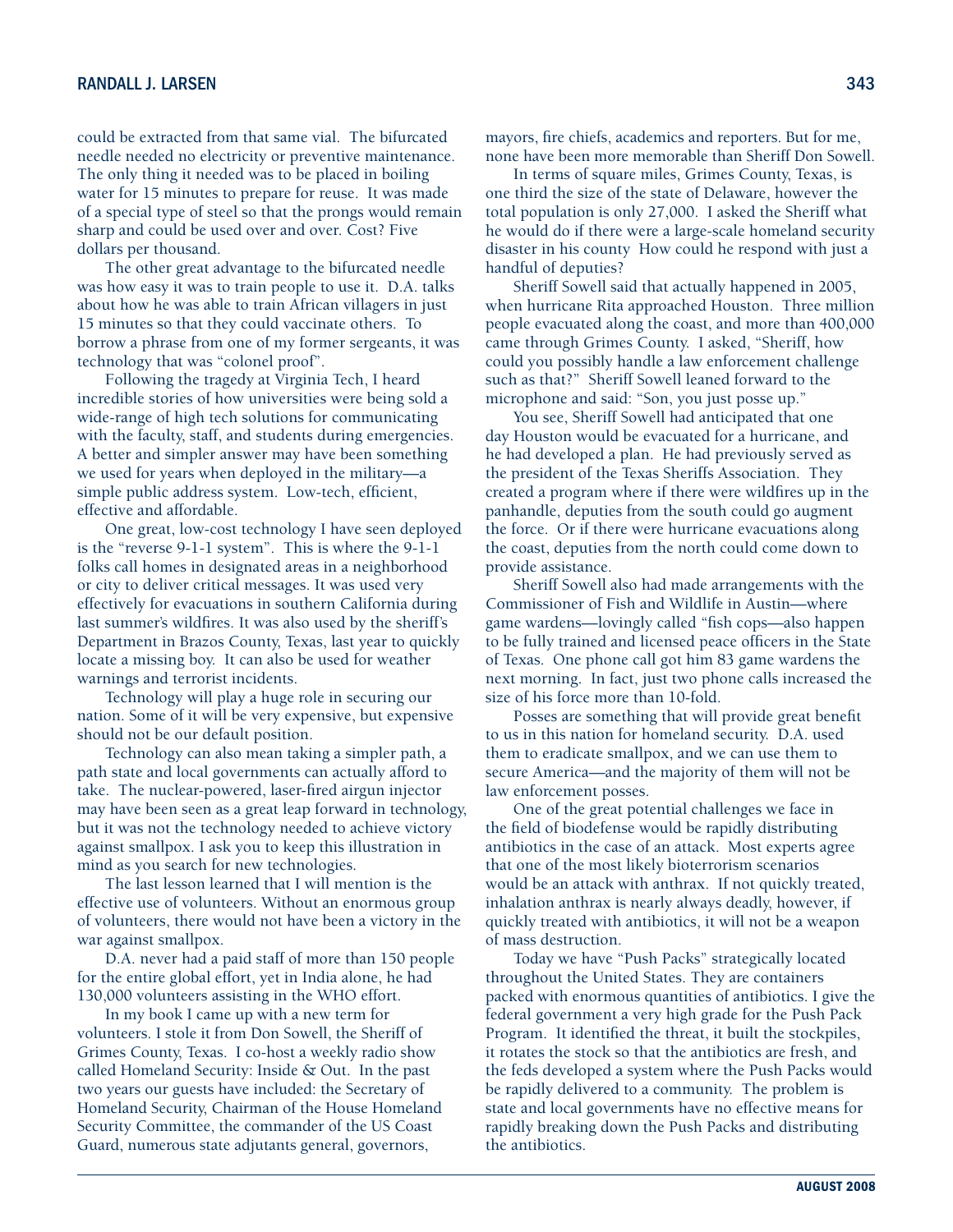could be extracted from that same vial. The bifurcated needle needed no electricity or preventive maintenance. The only thing it needed was to be placed in boiling water for 15 minutes to prepare for reuse. It was made of a special type of steel so that the prongs would remain sharp and could be used over and over. Cost? Five dollars per thousand.

The other great advantage to the bifurcated needle was how easy it was to train people to use it. D.A. talks about how he was able to train African villagers in just 15 minutes so that they could vaccinate others. To borrow a phrase from one of my former sergeants, it was technology that was "colonel proof".

Following the tragedy at Virginia Tech, I heard incredible stories of how universities were being sold a wide-range of high tech solutions for communicating with the faculty, staff, and students during emergencies. A better and simpler answer may have been something we used for years when deployed in the military—a simple public address system. Low-tech, efficient, effective and affordable.

One great, low-cost technology I have seen deployed is the "reverse 9-1-1 system". This is where the 9-1-1 folks call homes in designated areas in a neighborhood or city to deliver critical messages. It was used very effectively for evacuations in southern California during last summer's wildfires. It was also used by the sheriff's Department in Brazos County, Texas, last year to quickly locate a missing boy. It can also be used for weather warnings and terrorist incidents.

Technology will play a huge role in securing our nation. Some of it will be very expensive, but expensive should not be our default position.

Technology can also mean taking a simpler path, a path state and local governments can actually afford to take. The nuclear-powered, laser-fired airgun injector may have been seen as a great leap forward in technology, but it was not the technology needed to achieve victory against smallpox. I ask you to keep this illustration in mind as you search for new technologies.

The last lesson learned that I will mention is the effective use of volunteers. Without an enormous group of volunteers, there would not have been a victory in the war against smallpox.

D.A. never had a paid staff of more than 150 people for the entire global effort, yet in India alone, he had 130,000 volunteers assisting in the WHO effort.

In my book I came up with a new term for volunteers. I stole it from Don Sowell, the Sheriff of Grimes County, Texas. I co-host a weekly radio show called Homeland Security: Inside & Out. In the past two years our guests have included: the Secretary of Homeland Security, Chairman of the House Homeland Security Committee, the commander of the US Coast Guard, numerous state adjutants general, governors,

mayors, fire chiefs, academics and reporters. But for me, none have been more memorable than Sheriff Don Sowell.

In terms of square miles, Grimes County, Texas, is one third the size of the state of Delaware, however the total population is only 27,000. I asked the Sheriff what he would do if there were a large-scale homeland security disaster in his county How could he respond with just a handful of deputies?

Sheriff Sowell said that actually happened in 2005, when hurricane Rita approached Houston. Three million people evacuated along the coast, and more than 400,000 came through Grimes County. I asked, "Sheriff, how could you possibly handle a law enforcement challenge such as that?" Sheriff Sowell leaned forward to the microphone and said: "Son, you just posse up."

You see, Sheriff Sowell had anticipated that one day Houston would be evacuated for a hurricane, and he had developed a plan. He had previously served as the president of the Texas Sheriffs Association. They created a program where if there were wildfires up in the panhandle, deputies from the south could go augment the force. Or if there were hurricane evacuations along the coast, deputies from the north could come down to provide assistance.

Sheriff Sowell also had made arrangements with the Commissioner of Fish and Wildlife in Austin—where game wardens—lovingly called "fish cops—also happen to be fully trained and licensed peace officers in the State of Texas. One phone call got him 83 game wardens the next morning. In fact, just two phone calls increased the size of his force more than 10-fold.

Posses are something that will provide great benefit to us in this nation for homeland security. D.A. used them to eradicate smallpox, and we can use them to secure America—and the majority of them will not be law enforcement posses.

One of the great potential challenges we face in the field of biodefense would be rapidly distributing antibiotics in the case of an attack. Most experts agree that one of the most likely bioterrorism scenarios would be an attack with anthrax. If not quickly treated, inhalation anthrax is nearly always deadly, however, if quickly treated with antibiotics, it will not be a weapon of mass destruction.

Today we have "Push Packs" strategically located throughout the United States. They are containers packed with enormous quantities of antibiotics. I give the federal government a very high grade for the Push Pack Program. It identified the threat, it built the stockpiles, it rotates the stock so that the antibiotics are fresh, and the feds developed a system where the Push Packs would be rapidly delivered to a community. The problem is state and local governments have no effective means for rapidly breaking down the Push Packs and distributing the antibiotics.